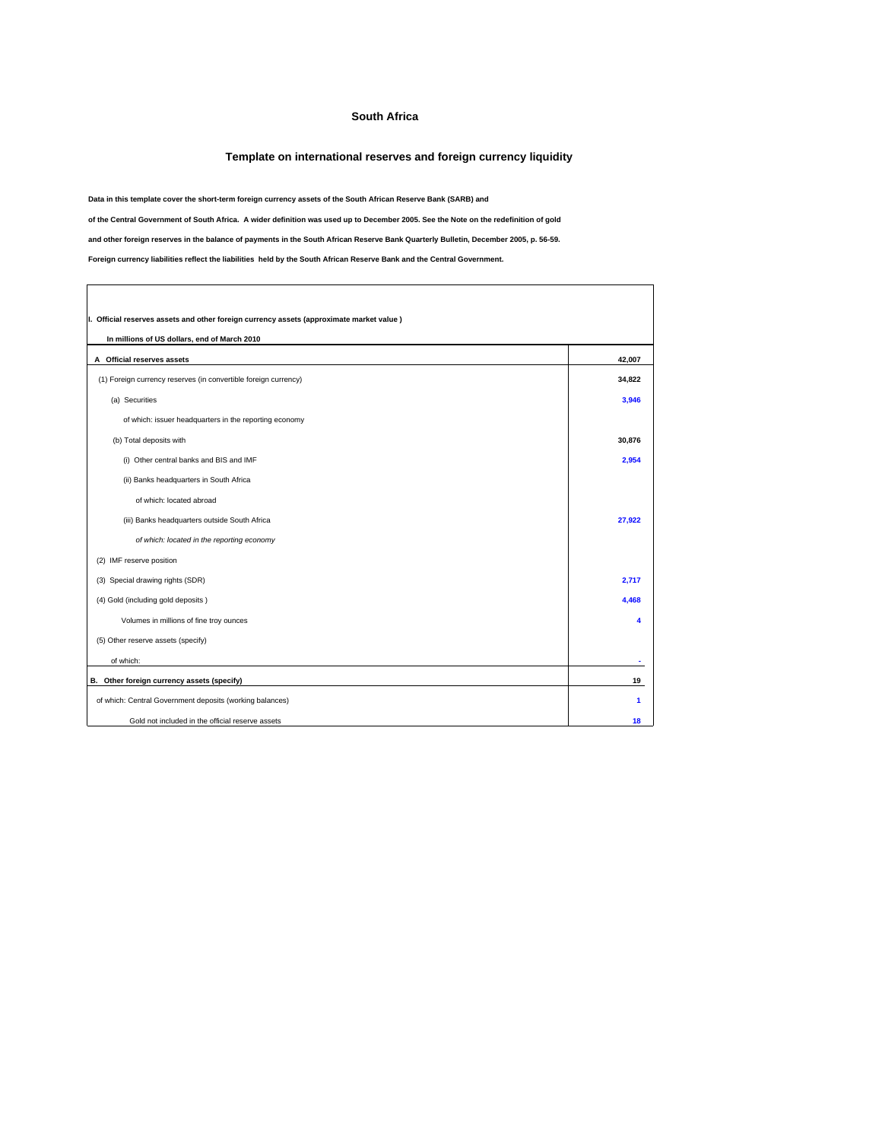## **South Africa**

## **Template on international reserves and foreign currency liquidity**

٦

**Data in this template cover the short-term foreign currency assets of the South African Reserve Bank (SARB) and**

**of the Central Government of South Africa. A wider definition was used up to December 2005. See the Note on the redefinition of gold**

**and other foreign reserves in the balance of payments in the South African Reserve Bank Quarterly Bulletin, December 2005, p. 56-59.**

**Foreign currency liabilities reflect the liabilities held by the South African Reserve Bank and the Central Government.**

 $\sqrt{ }$ 

| I. Official reserves assets and other foreign currency assets (approximate market value) |        |
|------------------------------------------------------------------------------------------|--------|
| In millions of US dollars, end of March 2010                                             |        |
| A Official reserves assets                                                               | 42.007 |
| (1) Foreign currency reserves (in convertible foreign currency)                          | 34,822 |
| (a) Securities                                                                           | 3.946  |
| of which: issuer headquarters in the reporting economy                                   |        |
| (b) Total deposits with                                                                  | 30,876 |
| (i) Other central banks and BIS and IMF                                                  | 2,954  |
| (ii) Banks headquarters in South Africa                                                  |        |
| of which: located abroad                                                                 |        |
| (iii) Banks headquarters outside South Africa                                            | 27,922 |
| of which: located in the reporting economy                                               |        |
| (2) IMF reserve position                                                                 |        |
| (3) Special drawing rights (SDR)                                                         | 2,717  |
| (4) Gold (including gold deposits)                                                       | 4.468  |
| Volumes in millions of fine troy ounces                                                  |        |
| (5) Other reserve assets (specify)                                                       |        |
| of which:                                                                                |        |
| B. Other foreign currency assets (specify)                                               | 19     |
| of which: Central Government deposits (working balances)                                 | 1      |
| Gold not included in the official reserve assets                                         | 18     |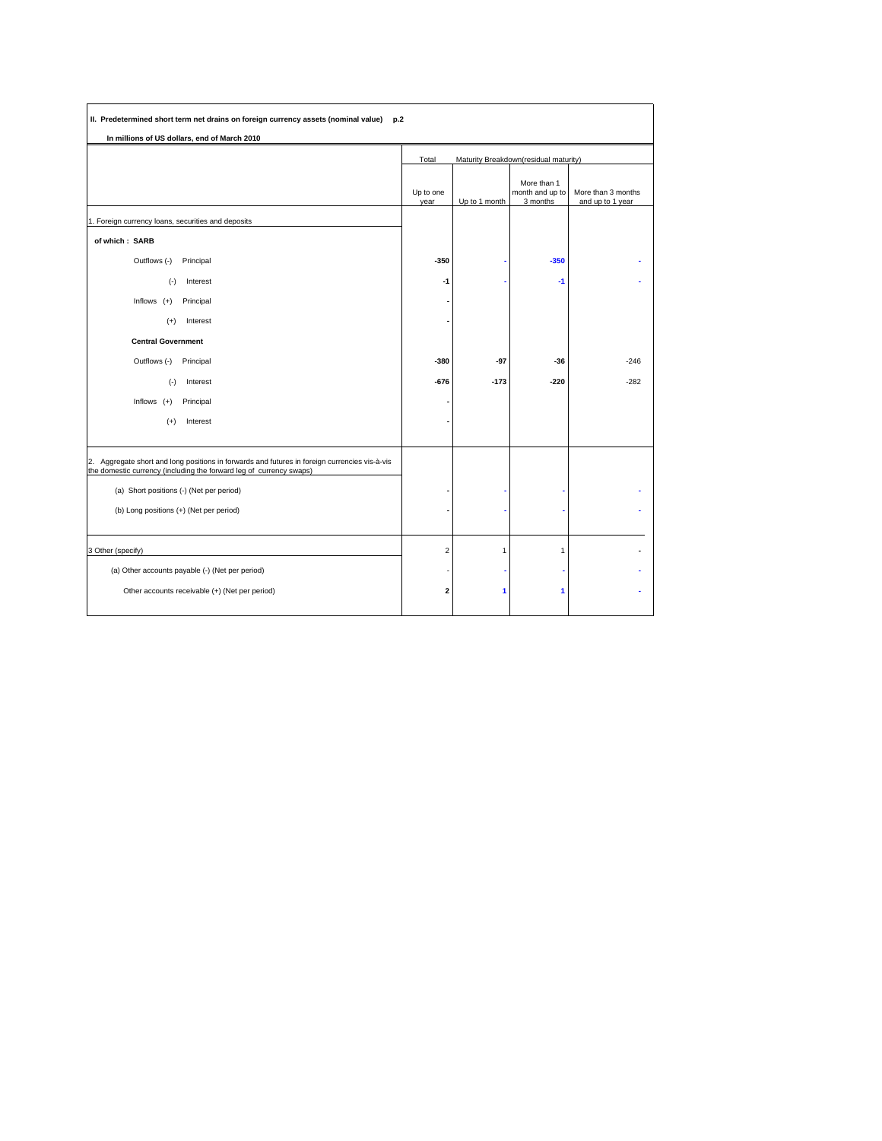| II. Predetermined short term net drains on foreign currency assets (nominal value)<br>p.2                                                                               |                                                |               |                                            |                                        |
|-------------------------------------------------------------------------------------------------------------------------------------------------------------------------|------------------------------------------------|---------------|--------------------------------------------|----------------------------------------|
| In millions of US dollars, end of March 2010                                                                                                                            |                                                |               |                                            |                                        |
|                                                                                                                                                                         | Maturity Breakdown(residual maturity)<br>Total |               |                                            |                                        |
|                                                                                                                                                                         | Up to one<br>year                              | Up to 1 month | More than 1<br>month and up to<br>3 months | More than 3 months<br>and up to 1 year |
| 1. Foreign currency loans, securities and deposits                                                                                                                      |                                                |               |                                            |                                        |
| of which: SARB                                                                                                                                                          |                                                |               |                                            |                                        |
| Outflows (-)<br>Principal                                                                                                                                               | $-350$                                         |               | $-350$                                     |                                        |
| Interest<br>$(-)$                                                                                                                                                       | $-1$                                           |               | $-1$                                       |                                        |
| Inflows $(+)$<br>Principal                                                                                                                                              |                                                |               |                                            |                                        |
| Interest<br>$^{(+)}$                                                                                                                                                    |                                                |               |                                            |                                        |
| <b>Central Government</b>                                                                                                                                               |                                                |               |                                            |                                        |
| Outflows (-)<br>Principal                                                                                                                                               | -380                                           | $-97$         | $-36$                                      | $-246$                                 |
| $(-)$<br>Interest                                                                                                                                                       | $-676$                                         | $-173$        | $-220$                                     | $-282$                                 |
| Inflows $(+)$<br>Principal                                                                                                                                              |                                                |               |                                            |                                        |
| $(+)$<br>Interest                                                                                                                                                       |                                                |               |                                            |                                        |
|                                                                                                                                                                         |                                                |               |                                            |                                        |
| Aggregate short and long positions in forwards and futures in foreign currencies vis-à-vis<br>2.<br>the domestic currency (including the forward leg of currency swaps) |                                                |               |                                            |                                        |
| (a) Short positions (-) (Net per period)                                                                                                                                |                                                |               |                                            |                                        |
| (b) Long positions (+) (Net per period)                                                                                                                                 |                                                |               |                                            |                                        |
|                                                                                                                                                                         |                                                |               |                                            |                                        |
| 3 Other (specify)                                                                                                                                                       | $\overline{c}$                                 | 1             | 1                                          |                                        |
| (a) Other accounts payable (-) (Net per period)                                                                                                                         |                                                |               |                                            |                                        |
| Other accounts receivable (+) (Net per period)                                                                                                                          | 2                                              | 1             | 1                                          |                                        |
|                                                                                                                                                                         |                                                |               |                                            |                                        |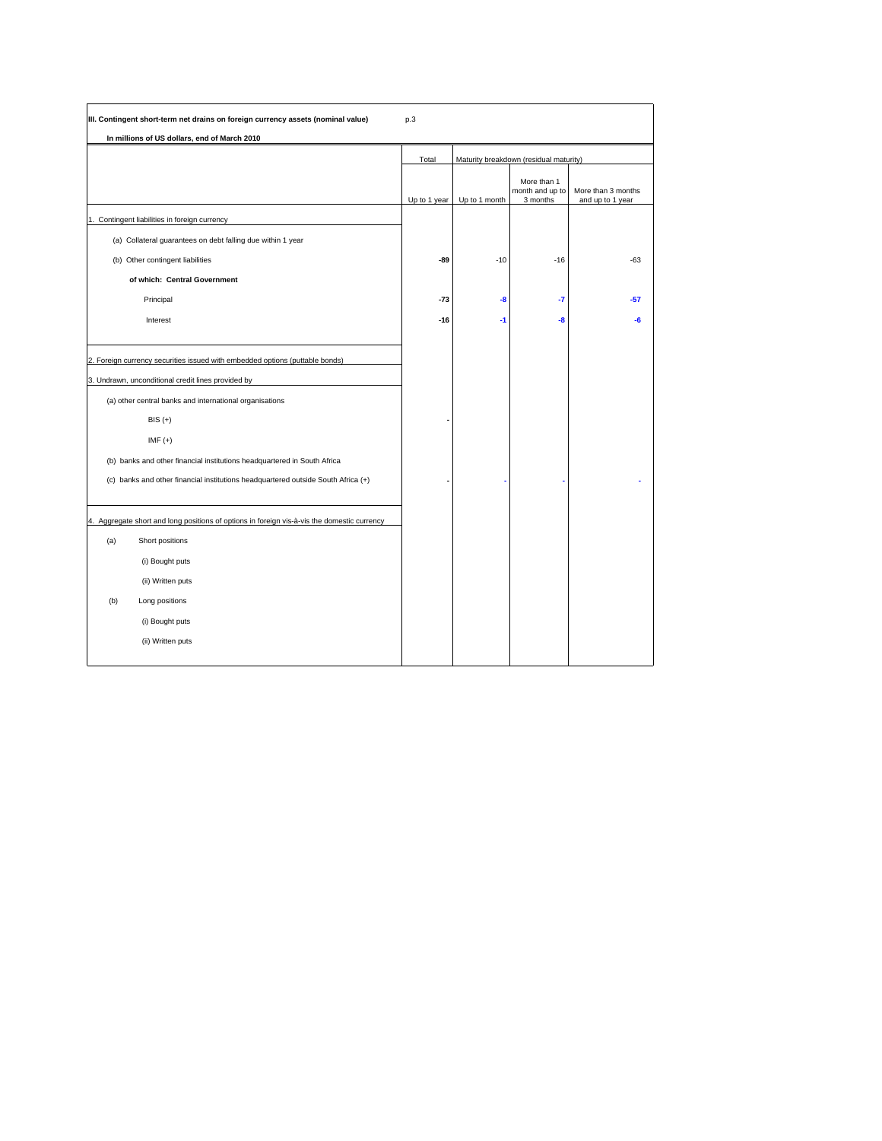| III. Contingent short-term net drains on foreign currency assets (nominal value)                                                                                                                           | p.3          |               |                                            |                                        |
|------------------------------------------------------------------------------------------------------------------------------------------------------------------------------------------------------------|--------------|---------------|--------------------------------------------|----------------------------------------|
| In millions of US dollars, end of March 2010                                                                                                                                                               |              |               |                                            |                                        |
|                                                                                                                                                                                                            | Total        |               | Maturity breakdown (residual maturity)     |                                        |
|                                                                                                                                                                                                            | Up to 1 year | Up to 1 month | More than 1<br>month and up to<br>3 months | More than 3 months<br>and up to 1 year |
| 1. Contingent liabilities in foreign currency                                                                                                                                                              |              |               |                                            |                                        |
| (a) Collateral guarantees on debt falling due within 1 year                                                                                                                                                |              |               |                                            |                                        |
| (b) Other contingent liabilities                                                                                                                                                                           | -89          | $-10$         | $-16$                                      | $-63$                                  |
| of which: Central Government                                                                                                                                                                               |              |               |                                            |                                        |
| Principal                                                                                                                                                                                                  | $-73$        | -8            | -7                                         | $-57$                                  |
| Interest                                                                                                                                                                                                   | $-16$        | -1            | -8                                         | -6                                     |
| 2. Foreign currency securities issued with embedded options (puttable bonds)<br>3. Undrawn, unconditional credit lines provided by<br>(a) other central banks and international organisations<br>$BIS (+)$ |              |               |                                            |                                        |
| $IMF (+)$                                                                                                                                                                                                  |              |               |                                            |                                        |
| (b) banks and other financial institutions headquartered in South Africa                                                                                                                                   |              |               |                                            |                                        |
| (c) banks and other financial institutions headquartered outside South Africa (+)                                                                                                                          |              |               |                                            |                                        |
| 4. Aggregate short and long positions of options in foreign vis-à-vis the domestic currency                                                                                                                |              |               |                                            |                                        |
| (a)<br>Short positions                                                                                                                                                                                     |              |               |                                            |                                        |
| (i) Bought puts                                                                                                                                                                                            |              |               |                                            |                                        |
| (ii) Written puts                                                                                                                                                                                          |              |               |                                            |                                        |
| (b)<br>Long positions                                                                                                                                                                                      |              |               |                                            |                                        |
| (i) Bought puts                                                                                                                                                                                            |              |               |                                            |                                        |
| (ii) Written puts                                                                                                                                                                                          |              |               |                                            |                                        |